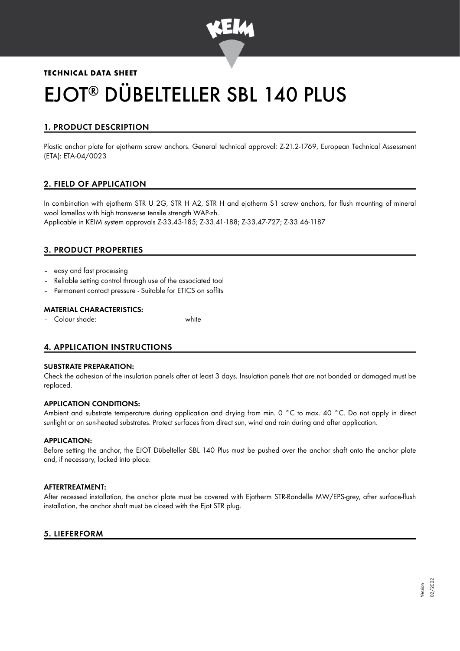

# **TECHNICAL DATA SHEET** EJOT® DÜBELTELLER SBL 140 PLUS

# 1. PRODUCT DESCRIPTION

Plastic anchor plate for ejotherm screw anchors. General technical approval: Z-21.2-1769, European Technical Assessment (ETA): ETA-04/0023

## 2. FIELD OF APPLICATION

In combination with ejotherm STR U 2G, STR H A2, STR H and ejotherm S1 screw anchors, for flush mounting of mineral wool lamellas with high transverse tensile strength WAP-zh. Applicable in KEIM system approvals Z-33.43-185; Z-33.41-188; Z-33.47-727; Z-33.46-1187

## 3. PRODUCT PROPERTIES

- easy and fast processing
- Reliable setting control through use of the associated tool
- Permanent contact pressure Suitable for ETICS on soffits

#### MATERIAL CHARACTERISTICS:

– Colour shade: white

## 4. APPLICATION INSTRUCTIONS

#### SUBSTRATE PREPARATION:

Check the adhesion of the insulation panels after at least 3 days. Insulation panels that are not bonded or damaged must be replaced.

## APPLICATION CONDITIONS:

Ambient and substrate temperature during application and drying from min. 0 °C to max. 40 °C. Do not apply in direct sunlight or on sun-heated substrates. Protect surfaces from direct sun, wind and rain during and after application.

#### APPLICATION:

Before setting the anchor, the EJOT Dübelteller SBL 140 Plus must be pushed over the anchor shaft onto the anchor plate and, if necessary, locked into place.

#### AFTERTREATMENT:

After recessed installation, the anchor plate must be covered with Ejotherm STR-Rondelle MW/EPS-grey, after surface-flush installation, the anchor shaft must be closed with the Ejot STR plug.

## 5. LIEFERFORM